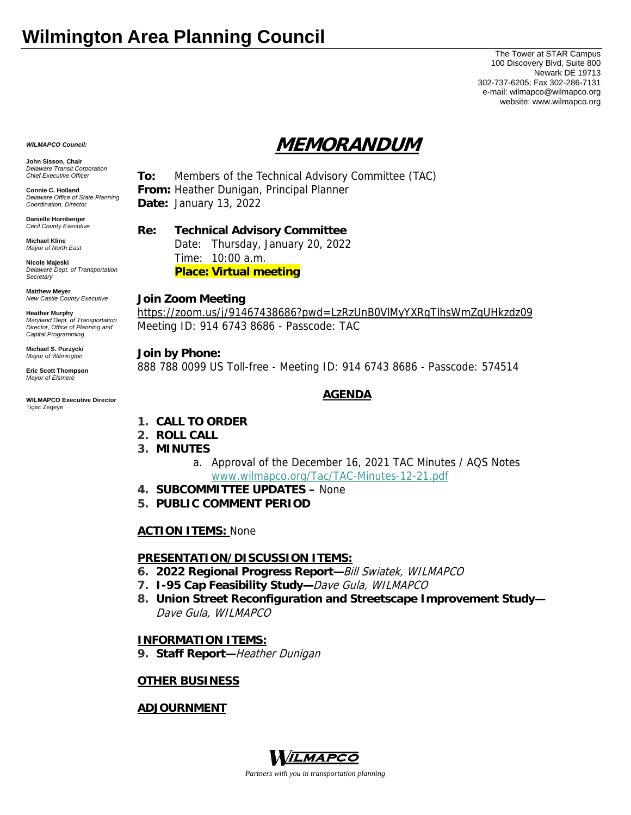# **Wilmington Area Planning Council**

The Tower at STAR Campus 100 Discovery Blvd, Suite 800 Newark DE 19713 302-737-6205; Fax 302-286-7131 e-mail: wilmapco@wilmapco.org website: www.wilmapco.org

# **MEMORANDUM**

**John Sisson, Chair**  *Delaware Transit Corporation Chief Executive Officer*

*WILMAPCO Council:*

**Connie C. Holland**  *Delaware Office of State Planning Coordination, Director*

**Danielle Hornberger** *Cecil County Executive* 

**Michael Kline**  *Mayor of North East* 

**Nicole Majeski**  *Delaware Dept. of Transportation Secretary*

#### **Matthew Meyer**  *New Castle County Executive*

**Heather Murphy**  *Maryland Dept. of Transportation Director, Office of Planning and Capital Programming* 

**Michael S. Purzycki**  *Mayor of Wilmington*

**Eric Scott Thompson**  *Mayor of Elsmere* 

#### **WILMAPCO Executive Director**  Tigist Zegeye

**To:** Members of the Technical Advisory Committee (TAC) **From:** Heather Dunigan, Principal Planner **Date:** January 13, 2022

# **Re: Technical Advisory Committee**

 Date: Thursday, January 20, 2022 Time: 10:00 a.m. **Place: Virtual meeting**

### **Join Zoom Meeting**

https://zoom.us/j/91467438686?pwd=LzRzUnB0VlMyYXRqTlhsWmZqUHkzdz09 Meeting ID: 914 6743 8686 - Passcode: TAC

### **Join by Phone:**

888 788 0099 US Toll-free - Meeting ID: 914 6743 8686 - Passcode: 574514

# **AGENDA**

- **1. CALL TO ORDER**
- **2. ROLL CALL**
- **3. MINUTES**
	- a. Approval of the December 16, 2021 TAC Minutes / AQS Notes www.wilmapco.org/Tac/TAC-Minutes-12-21.pdf
- **4. SUBCOMMITTEE UPDATES** None
- **5. PUBLIC COMMENT PERIOD**

# **ACTION ITEMS:** None

# **PRESENTATION/DISCUSSION ITEMS:**

- **6. 2022 Regional Progress Report—**Bill Swiatek, WILMAPCO
- **7. I-95 Cap Feasibility Study—**Dave Gula, WILMAPCO
- **8. Union Street Reconfiguration and Streetscape Improvement Study—** Dave Gula, WILMAPCO

# **INFORMATION ITEMS:**

**9. Staff Report—**Heather Dunigan

# **OTHER BUSINESS**

# **ADJOURNMENT**



*Partners with you in transportation planning*